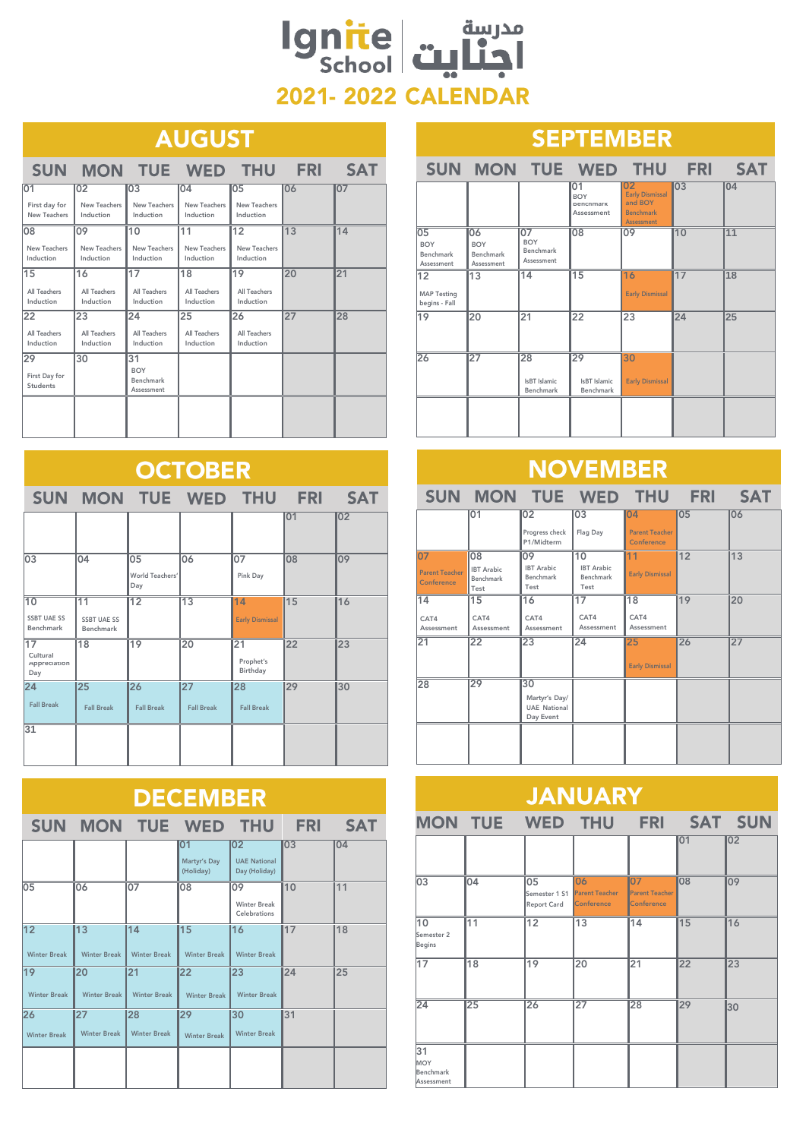## مدرسة<br>اجنايت school **2021-2022 CALENDAR**

### **Example 2 AUGUST**

|                                        | SUN MON TUE WED THU FRI                |                                             |                                 |                                              |    | <b>SAT</b> |  |  |  |
|----------------------------------------|----------------------------------------|---------------------------------------------|---------------------------------|----------------------------------------------|----|------------|--|--|--|
| 01<br>First day for<br>New Teachers    | 02<br>New Teachers<br>Induction        | 03<br>New Teachers<br>Induction             | 04<br>New Teachers<br>Induction | 05<br>New Teachers<br>Induction              | 06 | 107        |  |  |  |
| 08<br>New Teachers<br>Induction        | 09<br>New Teachers<br>Induction        | 10<br>New Teachers<br>Induction             | 11<br>New Teachers<br>Induction | $\overline{12}$<br>New Teachers<br>Induction | 13 | 14         |  |  |  |
| 15<br>All Teachers<br>Induction        | 16<br><b>All Teachers</b><br>Induction | 17<br>All Teachers<br>Induction             | 18<br>All Teachers<br>Induction | 19<br>All Teachers<br>Induction              | 20 | 21         |  |  |  |
| 22<br>All Teachers<br>Induction        | 23<br><b>All Teachers</b><br>Induction | 24<br>All Teachers<br>Induction             | 25<br>All Teachers<br>Induction | 26<br>All Teachers<br>Induction              | 27 | 28         |  |  |  |
| 29<br>First Day for<br><b>Students</b> | 30                                     | 31<br><b>BOY</b><br>Benchmark<br>Assessment |                                 |                                              |    |            |  |  |  |
|                                        |                                        |                                             |                                 |                                              |    |            |  |  |  |

| <b>OCTOBER</b>                               |                                                    |                              |                         |                                          |    |    |  |  |
|----------------------------------------------|----------------------------------------------------|------------------------------|-------------------------|------------------------------------------|----|----|--|--|
|                                              | SUN MON TUE WED THU FRI SAT                        |                              |                         |                                          |    |    |  |  |
|                                              |                                                    |                              |                         |                                          | 01 | 02 |  |  |
| 03                                           | 04                                                 | 05<br>World Teachers'<br>Day | 06                      | 07<br>Pink Day                           | 08 | 09 |  |  |
| 10<br><b>SSBT UAE SS</b><br><b>Benchmark</b> | $\overline{11}$<br><b>SSBT UAE SS</b><br>Benchmark | $\overline{12}$              | $\overline{13}$         | 14<br><b>Early Dismissal</b>             | 15 | 16 |  |  |
| 17<br>Cultural<br>Appreciation<br>Day        | $\overline{18}$                                    | 19                           | 20                      | $\overline{21}$<br>Prophet's<br>Birthday | 22 | 23 |  |  |
| $24^{2}$<br><b>Fall Break</b>                | $\overline{25}$<br><b>Fall Break</b>               | 26<br><b>Fall Break</b>      | 27<br><b>Fall Break</b> | 28<br><b>Fall Break</b>                  | 29 | 30 |  |  |
| 31                                           |                                                    |                              |                         |                                          |    |    |  |  |

| <b>DECEMBER</b>                                                     |                                        |                           |                                 |                                            |    |    |  |  |  |
|---------------------------------------------------------------------|----------------------------------------|---------------------------|---------------------------------|--------------------------------------------|----|----|--|--|--|
| <b>FRI</b><br><b>SAT</b><br><b>SUN</b><br><b>MON</b><br>TUE WED THU |                                        |                           |                                 |                                            |    |    |  |  |  |
|                                                                     |                                        |                           | 01<br>Martyr's Day<br>(Holiday) | 02<br><b>UAE National</b><br>Day (Holiday) | 03 | 04 |  |  |  |
| 05                                                                  | 06                                     | 07                        | 08                              | 09<br><b>Winter Break</b><br>Celebrations  | 10 | 11 |  |  |  |
| $\overline{12}$<br><b>Winter Break</b>                              | $\overline{13}$<br><b>Winter Break</b> | 14<br><b>Winter Break</b> | 15<br><b>Winter Break</b>       | 16<br><b>Winter Break</b>                  | 17 | 18 |  |  |  |
| 19<br><b>Winter Break</b>                                           | 20<br><b>Winter Break</b>              | 21<br><b>Winter Break</b> | 22<br><b>Winter Break</b>       | 23<br><b>Winter Break</b>                  | 24 | 25 |  |  |  |
| 26<br><b>Winter Break</b>                                           | 27<br><b>Winter Break</b>              | 28<br><b>Winter Break</b> | 29<br><b>Winter Break</b>       | 30<br><b>Winter Break</b>                  | 31 |    |  |  |  |
|                                                                     |                                        |                           |                                 |                                            |    |    |  |  |  |

| <b>SEPTEMBER</b>                                         |                                             |                                             |                                             |                                                                                  |    |     |  |  |
|----------------------------------------------------------|---------------------------------------------|---------------------------------------------|---------------------------------------------|----------------------------------------------------------------------------------|----|-----|--|--|
|                                                          | SUN MON TUE WED THU FRI SAT                 |                                             |                                             |                                                                                  |    |     |  |  |
|                                                          |                                             |                                             | 01<br><b>BOY</b><br>Benchmark<br>Assessment | 02<br><b>Early Dismissal</b><br>and BOY<br><b>Benchmark</b><br><b>Assessment</b> | 03 | 104 |  |  |
| $\overline{05}$<br><b>BOY</b><br>Benchmark<br>Assessment | 06<br><b>BOY</b><br>Benchmark<br>Assessment | 07<br><b>BOY</b><br>Benchmark<br>Assessment | $\overline{08}$                             | 09                                                                               | 10 | 11  |  |  |
| $\overline{12}$<br><b>MAP Testing</b><br>begins - Fall   | $\overline{13}$                             | 14                                          | $\overline{15}$                             | 16<br><b>Early Dismissal</b>                                                     | 17 | 18  |  |  |
| 19                                                       | 20                                          | 21                                          | $\overline{22}$                             | 23                                                                               | 24 | 25  |  |  |
| 26                                                       | 27                                          | 28<br>IsBT Islamic<br>Benchmark             | 29<br>IsBT Islamic<br>Benchmark             | 30<br><b>Early Dismissal</b>                                                     |    |     |  |  |
|                                                          |                                             |                                             |                                             |                                                                                  |    |     |  |  |

### **NOVEMBER**

|                                           |                                              |                                                         |                                              | SUN MON TUE WED THU FRI               |    | <b>SAT</b> |
|-------------------------------------------|----------------------------------------------|---------------------------------------------------------|----------------------------------------------|---------------------------------------|----|------------|
|                                           | 01                                           | 02                                                      | 03                                           | 04                                    | 05 | 06         |
|                                           |                                              | Progress check<br>P1/Midterm                            | Flag Day                                     | <b>Parent Teacher</b><br>Conference   |    |            |
| 07<br><b>Parent Teacher</b><br>Conference | 08<br><b>IBT</b> Arabic<br>Benchmark<br>Test | 09<br><b>IBT</b> Arabic<br>Benchmark<br>Test            | 10<br><b>IBT</b> Arabic<br>Benchmark<br>Test | 11<br><b>Early Dismissal</b>          | 12 | 13         |
| 14<br>CAT4<br>Assessment                  | 15<br>CAT4<br>Assessment                     | 16<br>CAT4<br>Assessment                                | 17<br>CAT4<br>Assessment                     | $\overline{18}$<br>CAT4<br>Assessment | 19 | 20         |
| 21                                        | 22                                           | 23                                                      | 24                                           | 25<br><b>Early Dismissal</b>          | 26 | 27         |
| 28                                        | 29                                           | 30<br>Martyr's Day/<br><b>UAE National</b><br>Day Event |                                              |                                       |    |            |
|                                           |                                              |                                                         |                                              |                                       |    |            |

#### **JANUARY MON TUE** WED THU **FRI** SAT SUN 01 02  $\overline{03}$   $\overline{04}$   $\overline{05}$ 08 09 06 07 .<br>Parent Teache Parent Teacher Semester 1 S1 Report Card Conference Conference 10 11 12 13 14 15 16 Semester 2 Begins 17 18 19 20 21 22 23 24 25 26 27 28 29 30 31 MOY Benchmark Assessmen